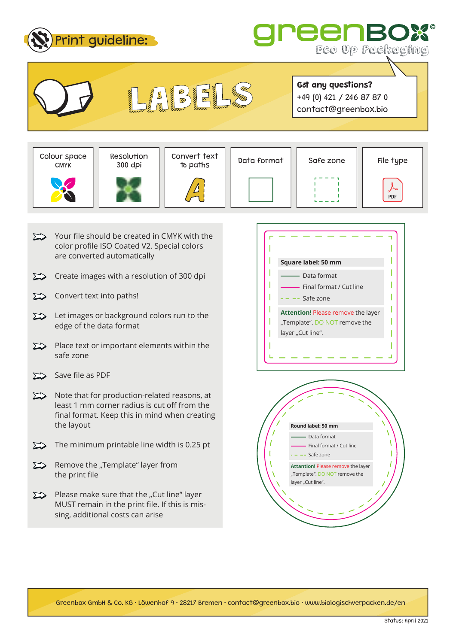



**Got any questions?** +49 (0) 421 / 246 87 87 0 contact@greenbox.bio

CMYK





Convert text<br>to paths

 $\overline{\mathcal{D}}$ 



- $\sum$  Your file should be created in CMYK with the color profile ISO Coated V2. Special colors are converted automatically
- Create images with a resolution of 300 dpi  $\sum$
- $\sum$ Convert text into paths!
- $\sum$  Let images or background colors run to the edge of the data format
- $\sum$  Place text or important elements within the safe zone
- $\sum$  Save file as PDF
- $\sum$  Note that for production-related reasons, at least 1 mm corner radius is cut off from the final format. Keep this in mind when creating the layout
- $\sum$  The minimum printable line width is 0.25 pt
- $\sum$  Remove the "Template" layer from the print file
- $\sum$  Please make sure that the "Cut line" layer MUST remain in the print file. If this is missing, additional costs can arise





Greenbox GmbH & Co. KG • Löwenhof 9 • 28217 Bremen • contact@greenbox.bio • www.biologischverpacken.de/en